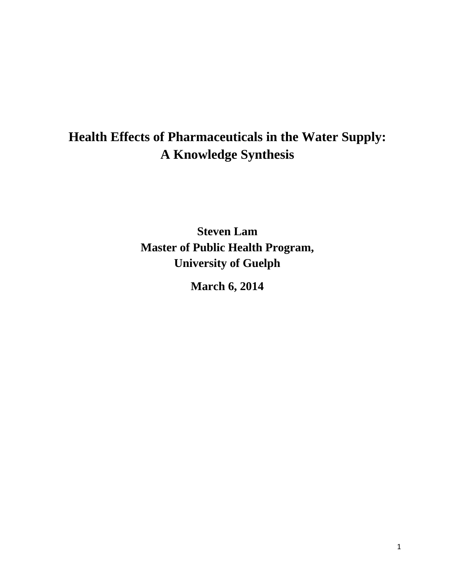# **Health Effects of Pharmaceuticals in the Water Supply: A Knowledge Synthesis**

**Steven Lam Master of Public Health Program, University of Guelph** 

**March 6, 2014**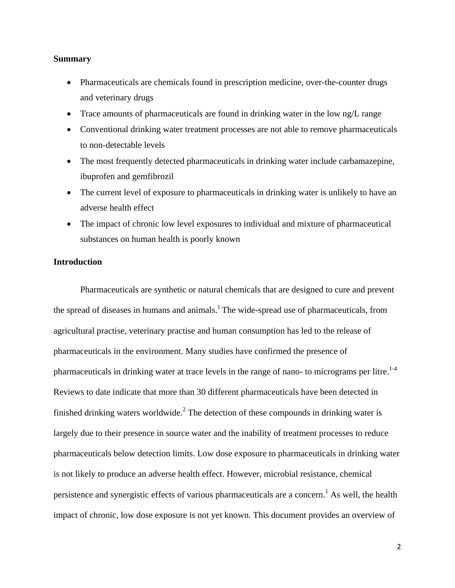#### **Summary**

- Pharmaceuticals are chemicals found in prescription medicine, over-the-counter drugs and veterinary drugs
- Trace amounts of pharmaceuticals are found in drinking water in the low ng/L range
- Conventional drinking water treatment processes are not able to remove pharmaceuticals to non-detectable levels
- The most frequently detected pharmaceuticals in drinking water include carbamazepine, ibuprofen and gemfibrozil
- The current level of exposure to pharmaceuticals in drinking water is unlikely to have an adverse health effect
- The impact of chronic low level exposures to individual and mixture of pharmaceutical substances on human health is poorly known

### **Introduction**

Pharmaceuticals are synthetic or natural chemicals that are designed to cure and prevent the spread of diseases in humans and animals.<sup>1</sup> The wide-spread use of pharmaceuticals, from agricultural practise, veterinary practise and human consumption has led to the release of pharmaceuticals in the environment. Many studies have confirmed the presence of pharmaceuticals in drinking water at trace levels in the range of nano- to micrograms per litre.<sup>1-4</sup> Reviews to date indicate that more than 30 different pharmaceuticals have been detected in finished drinking waters worldwide. $2$  The detection of these compounds in drinking water is largely due to their presence in source water and the inability of treatment processes to reduce pharmaceuticals below detection limits. Low dose exposure to pharmaceuticals in drinking water is not likely to produce an adverse health effect. However, microbial resistance, chemical persistence and synergistic effects of various pharmaceuticals are a concern.<sup>1</sup> As well, the health impact of chronic, low dose exposure is not yet known. This document provides an overview of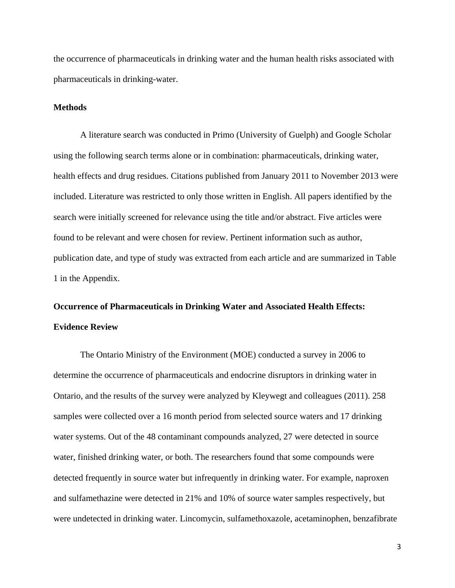the occurrence of pharmaceuticals in drinking water and the human health risks associated with pharmaceuticals in drinking-water.

#### **Methods**

A literature search was conducted in Primo (University of Guelph) and Google Scholar using the following search terms alone or in combination: pharmaceuticals, drinking water, health effects and drug residues. Citations published from January 2011 to November 2013 were included. Literature was restricted to only those written in English. All papers identified by the search were initially screened for relevance using the title and/or abstract. Five articles were found to be relevant and were chosen for review. Pertinent information such as author, publication date, and type of study was extracted from each article and are summarized in Table 1 in the Appendix.

# **Occurrence of Pharmaceuticals in Drinking Water and Associated Health Effects: Evidence Review**

 The Ontario Ministry of the Environment (MOE) conducted a survey in 2006 to determine the occurrence of pharmaceuticals and endocrine disruptors in drinking water in Ontario, and the results of the survey were analyzed by Kleywegt and colleagues (2011). 258 samples were collected over a 16 month period from selected source waters and 17 drinking water systems. Out of the 48 contaminant compounds analyzed, 27 were detected in source water, finished drinking water, or both. The researchers found that some compounds were detected frequently in source water but infrequently in drinking water. For example, naproxen and sulfamethazine were detected in 21% and 10% of source water samples respectively, but were undetected in drinking water. Lincomycin, sulfamethoxazole, acetaminophen, benzafibrate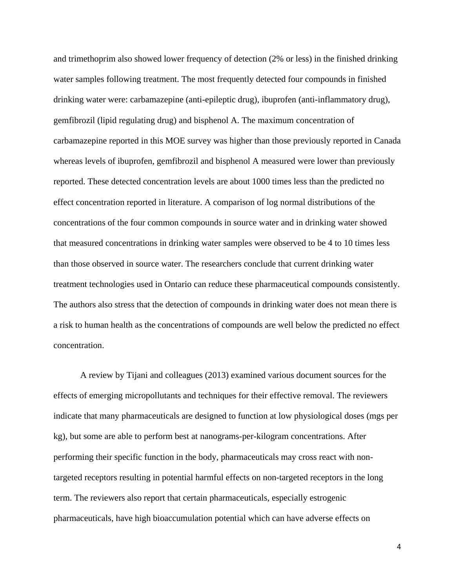and trimethoprim also showed lower frequency of detection (2% or less) in the finished drinking water samples following treatment. The most frequently detected four compounds in finished drinking water were: carbamazepine (anti-epileptic drug), ibuprofen (anti-inflammatory drug), gemfibrozil (lipid regulating drug) and bisphenol A. The maximum concentration of carbamazepine reported in this MOE survey was higher than those previously reported in Canada whereas levels of ibuprofen, gemfibrozil and bisphenol A measured were lower than previously reported. These detected concentration levels are about 1000 times less than the predicted no effect concentration reported in literature. A comparison of log normal distributions of the concentrations of the four common compounds in source water and in drinking water showed that measured concentrations in drinking water samples were observed to be 4 to 10 times less than those observed in source water. The researchers conclude that current drinking water treatment technologies used in Ontario can reduce these pharmaceutical compounds consistently. The authors also stress that the detection of compounds in drinking water does not mean there is a risk to human health as the concentrations of compounds are well below the predicted no effect concentration.

A review by Tijani and colleagues (2013) examined various document sources for the effects of emerging micropollutants and techniques for their effective removal. The reviewers indicate that many pharmaceuticals are designed to function at low physiological doses (mgs per kg), but some are able to perform best at nanograms-per-kilogram concentrations. After performing their specific function in the body, pharmaceuticals may cross react with nontargeted receptors resulting in potential harmful effects on non-targeted receptors in the long term. The reviewers also report that certain pharmaceuticals, especially estrogenic pharmaceuticals, have high bioaccumulation potential which can have adverse effects on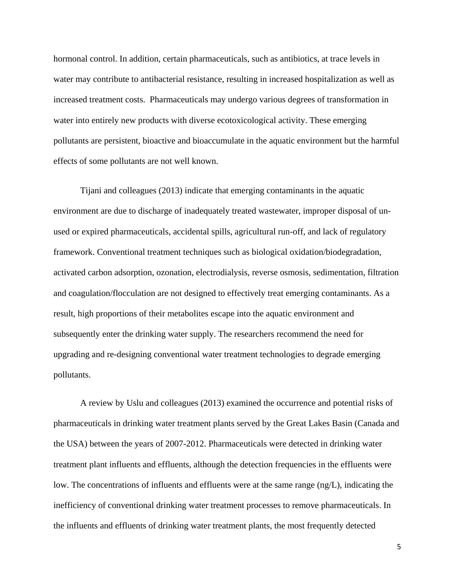hormonal control. In addition, certain pharmaceuticals, such as antibiotics, at trace levels in water may contribute to antibacterial resistance, resulting in increased hospitalization as well as increased treatment costs. Pharmaceuticals may undergo various degrees of transformation in water into entirely new products with diverse ecotoxicological activity. These emerging pollutants are persistent, bioactive and bioaccumulate in the aquatic environment but the harmful effects of some pollutants are not well known.

Tijani and colleagues (2013) indicate that emerging contaminants in the aquatic environment are due to discharge of inadequately treated wastewater, improper disposal of unused or expired pharmaceuticals, accidental spills, agricultural run-off, and lack of regulatory framework. Conventional treatment techniques such as biological oxidation/biodegradation, activated carbon adsorption, ozonation, electrodialysis, reverse osmosis, sedimentation, filtration and coagulation/flocculation are not designed to effectively treat emerging contaminants. As a result, high proportions of their metabolites escape into the aquatic environment and subsequently enter the drinking water supply. The researchers recommend the need for upgrading and re-designing conventional water treatment technologies to degrade emerging pollutants.

A review by Uslu and colleagues (2013) examined the occurrence and potential risks of pharmaceuticals in drinking water treatment plants served by the Great Lakes Basin (Canada and the USA) between the years of 2007-2012. Pharmaceuticals were detected in drinking water treatment plant influents and effluents, although the detection frequencies in the effluents were low. The concentrations of influents and effluents were at the same range (ng/L), indicating the inefficiency of conventional drinking water treatment processes to remove pharmaceuticals. In the influents and effluents of drinking water treatment plants, the most frequently detected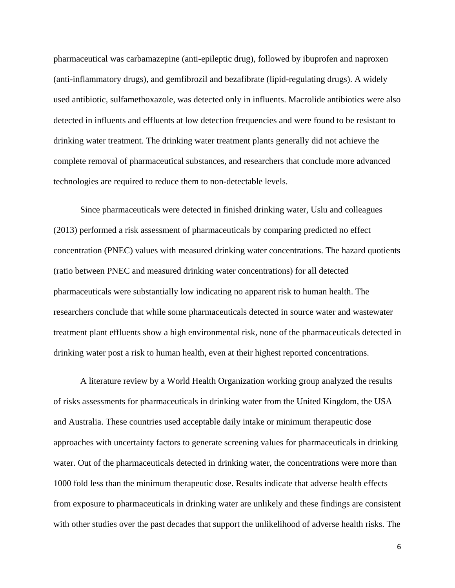pharmaceutical was carbamazepine (anti-epileptic drug), followed by ibuprofen and naproxen (anti-inflammatory drugs), and gemfibrozil and bezafibrate (lipid-regulating drugs). A widely used antibiotic, sulfamethoxazole, was detected only in influents. Macrolide antibiotics were also detected in influents and effluents at low detection frequencies and were found to be resistant to drinking water treatment. The drinking water treatment plants generally did not achieve the complete removal of pharmaceutical substances, and researchers that conclude more advanced technologies are required to reduce them to non-detectable levels.

Since pharmaceuticals were detected in finished drinking water, Uslu and colleagues (2013) performed a risk assessment of pharmaceuticals by comparing predicted no effect concentration (PNEC) values with measured drinking water concentrations. The hazard quotients (ratio between PNEC and measured drinking water concentrations) for all detected pharmaceuticals were substantially low indicating no apparent risk to human health. The researchers conclude that while some pharmaceuticals detected in source water and wastewater treatment plant effluents show a high environmental risk, none of the pharmaceuticals detected in drinking water post a risk to human health, even at their highest reported concentrations.

 A literature review by a World Health Organization working group analyzed the results of risks assessments for pharmaceuticals in drinking water from the United Kingdom, the USA and Australia. These countries used acceptable daily intake or minimum therapeutic dose approaches with uncertainty factors to generate screening values for pharmaceuticals in drinking water. Out of the pharmaceuticals detected in drinking water, the concentrations were more than 1000 fold less than the minimum therapeutic dose. Results indicate that adverse health effects from exposure to pharmaceuticals in drinking water are unlikely and these findings are consistent with other studies over the past decades that support the unlikelihood of adverse health risks. The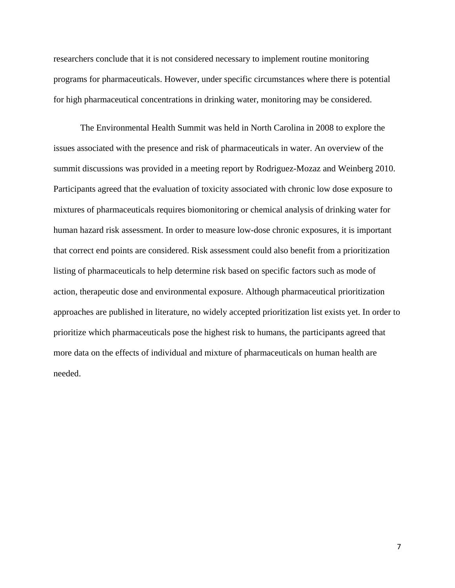researchers conclude that it is not considered necessary to implement routine monitoring programs for pharmaceuticals. However, under specific circumstances where there is potential for high pharmaceutical concentrations in drinking water, monitoring may be considered.

 The Environmental Health Summit was held in North Carolina in 2008 to explore the issues associated with the presence and risk of pharmaceuticals in water. An overview of the summit discussions was provided in a meeting report by Rodriguez-Mozaz and Weinberg 2010. Participants agreed that the evaluation of toxicity associated with chronic low dose exposure to mixtures of pharmaceuticals requires biomonitoring or chemical analysis of drinking water for human hazard risk assessment. In order to measure low-dose chronic exposures, it is important that correct end points are considered. Risk assessment could also benefit from a prioritization listing of pharmaceuticals to help determine risk based on specific factors such as mode of action, therapeutic dose and environmental exposure. Although pharmaceutical prioritization approaches are published in literature, no widely accepted prioritization list exists yet. In order to prioritize which pharmaceuticals pose the highest risk to humans, the participants agreed that more data on the effects of individual and mixture of pharmaceuticals on human health are needed.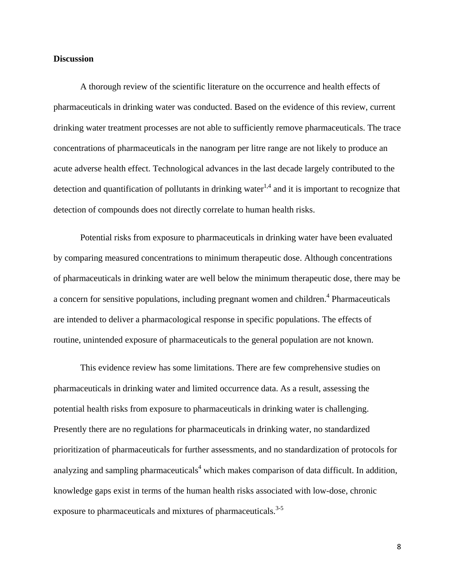#### **Discussion**

A thorough review of the scientific literature on the occurrence and health effects of pharmaceuticals in drinking water was conducted. Based on the evidence of this review, current drinking water treatment processes are not able to sufficiently remove pharmaceuticals. The trace concentrations of pharmaceuticals in the nanogram per litre range are not likely to produce an acute adverse health effect. Technological advances in the last decade largely contributed to the detection and quantification of pollutants in drinking water<sup>1,4</sup> and it is important to recognize that detection of compounds does not directly correlate to human health risks.

Potential risks from exposure to pharmaceuticals in drinking water have been evaluated by comparing measured concentrations to minimum therapeutic dose. Although concentrations of pharmaceuticals in drinking water are well below the minimum therapeutic dose, there may be a concern for sensitive populations, including pregnant women and children.<sup>4</sup> Pharmaceuticals are intended to deliver a pharmacological response in specific populations. The effects of routine, unintended exposure of pharmaceuticals to the general population are not known.

This evidence review has some limitations. There are few comprehensive studies on pharmaceuticals in drinking water and limited occurrence data. As a result, assessing the potential health risks from exposure to pharmaceuticals in drinking water is challenging. Presently there are no regulations for pharmaceuticals in drinking water, no standardized prioritization of pharmaceuticals for further assessments, and no standardization of protocols for analyzing and sampling pharmaceuticals<sup>4</sup> which makes comparison of data difficult. In addition, knowledge gaps exist in terms of the human health risks associated with low-dose, chronic exposure to pharmaceuticals and mixtures of pharmaceuticals.<sup>3-5</sup>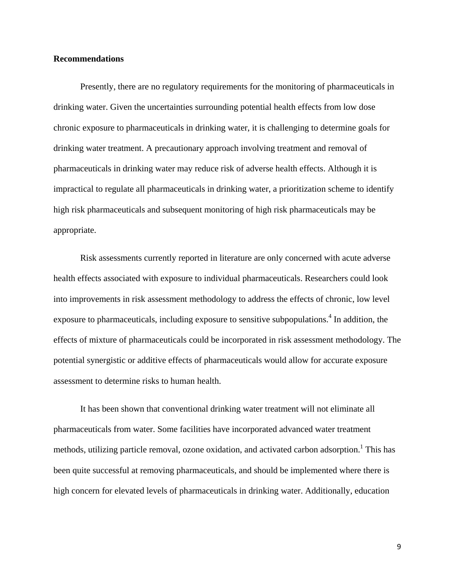#### **Recommendations**

Presently, there are no regulatory requirements for the monitoring of pharmaceuticals in drinking water. Given the uncertainties surrounding potential health effects from low dose chronic exposure to pharmaceuticals in drinking water, it is challenging to determine goals for drinking water treatment. A precautionary approach involving treatment and removal of pharmaceuticals in drinking water may reduce risk of adverse health effects. Although it is impractical to regulate all pharmaceuticals in drinking water, a prioritization scheme to identify high risk pharmaceuticals and subsequent monitoring of high risk pharmaceuticals may be appropriate.

Risk assessments currently reported in literature are only concerned with acute adverse health effects associated with exposure to individual pharmaceuticals. Researchers could look into improvements in risk assessment methodology to address the effects of chronic, low level exposure to pharmaceuticals, including exposure to sensitive subpopulations.<sup>4</sup> In addition, the effects of mixture of pharmaceuticals could be incorporated in risk assessment methodology. The potential synergistic or additive effects of pharmaceuticals would allow for accurate exposure assessment to determine risks to human health.

It has been shown that conventional drinking water treatment will not eliminate all pharmaceuticals from water. Some facilities have incorporated advanced water treatment methods, utilizing particle removal, ozone oxidation, and activated carbon adsorption.<sup>1</sup> This has been quite successful at removing pharmaceuticals, and should be implemented where there is high concern for elevated levels of pharmaceuticals in drinking water. Additionally, education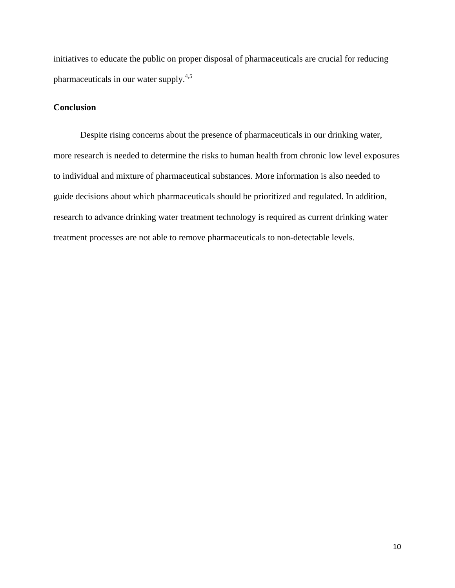initiatives to educate the public on proper disposal of pharmaceuticals are crucial for reducing pharmaceuticals in our water supply.<sup>4,5</sup>

### **Conclusion**

Despite rising concerns about the presence of pharmaceuticals in our drinking water, more research is needed to determine the risks to human health from chronic low level exposures to individual and mixture of pharmaceutical substances. More information is also needed to guide decisions about which pharmaceuticals should be prioritized and regulated. In addition, research to advance drinking water treatment technology is required as current drinking water treatment processes are not able to remove pharmaceuticals to non-detectable levels.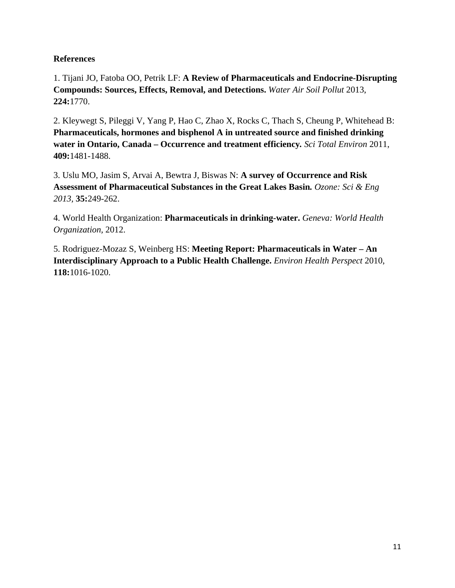## **References**

1. Tijani JO, Fatoba OO, Petrik LF: **A Review of Pharmaceuticals and Endocrine-Disrupting Compounds: Sources, Effects, Removal, and Detections.** *Water Air Soil Pollut* 2013, **224:**1770.

2. Kleywegt S, Pileggi V, Yang P, Hao C, Zhao X, Rocks C, Thach S, Cheung P, Whitehead B: **Pharmaceuticals, hormones and bisphenol A in untreated source and finished drinking water in Ontario, Canada – Occurrence and treatment efficiency***. Sci Total Environ* 2011, **409:**1481-1488.

3. Uslu MO, Jasim S, Arvai A, Bewtra J, Biswas N: **A survey of Occurrence and Risk Assessment of Pharmaceutical Substances in the Great Lakes Basin***. Ozone: Sci & Eng 2013,* **35:**249-262.

4. World Health Organization: **Pharmaceuticals in drinking-water.** *Geneva: World Health Organization,* 2012.

5. Rodriguez-Mozaz S, Weinberg HS: **Meeting Report: Pharmaceuticals in Water – An Interdisciplinary Approach to a Public Health Challenge.** *Environ Health Perspect* 2010, **118:**1016-1020.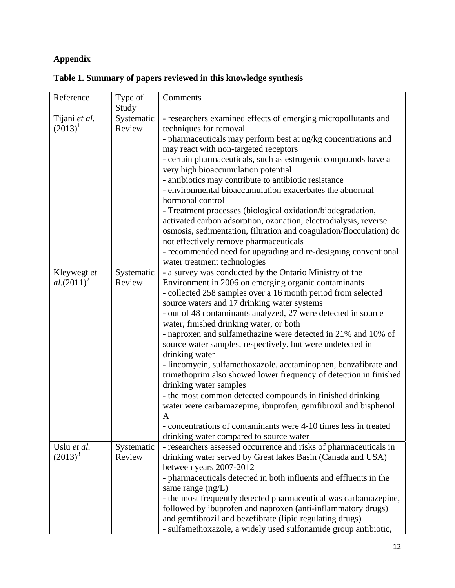# **Appendix**

|  |  | Table 1. Summary of papers reviewed in this knowledge synthesis |  |
|--|--|-----------------------------------------------------------------|--|
|  |  |                                                                 |  |

| Reference                   | Type of    | Comments                                                                     |  |  |
|-----------------------------|------------|------------------------------------------------------------------------------|--|--|
|                             | Study      |                                                                              |  |  |
| Tijani et al.<br>$(2013)^1$ | Systematic | - researchers examined effects of emerging micropollutants and               |  |  |
|                             | Review     | techniques for removal                                                       |  |  |
|                             |            | - pharmaceuticals may perform best at ng/kg concentrations and               |  |  |
|                             |            | may react with non-targeted receptors                                        |  |  |
|                             |            | - certain pharmaceuticals, such as estrogenic compounds have a               |  |  |
|                             |            | very high bioaccumulation potential                                          |  |  |
|                             |            | - antibiotics may contribute to antibiotic resistance                        |  |  |
|                             |            | - environmental bioaccumulation exacerbates the abnormal<br>hormonal control |  |  |
|                             |            | - Treatment processes (biological oxidation/biodegradation,                  |  |  |
|                             |            | activated carbon adsorption, ozonation, electrodialysis, reverse             |  |  |
|                             |            | osmosis, sedimentation, filtration and coagulation/flocculation) do          |  |  |
|                             |            | not effectively remove pharmaceuticals                                       |  |  |
|                             |            | - recommended need for upgrading and re-designing conventional               |  |  |
|                             |            | water treatment technologies                                                 |  |  |
| Kleywegt et                 | Systematic | - a survey was conducted by the Ontario Ministry of the                      |  |  |
| $al.(2011)^2$               | Review     | Environment in 2006 on emerging organic contaminants                         |  |  |
|                             |            | - collected 258 samples over a 16 month period from selected                 |  |  |
|                             |            | source waters and 17 drinking water systems                                  |  |  |
|                             |            | - out of 48 contaminants analyzed, 27 were detected in source                |  |  |
|                             |            | water, finished drinking water, or both                                      |  |  |
|                             |            | - naproxen and sulfamethazine were detected in 21% and 10% of                |  |  |
|                             |            | source water samples, respectively, but were undetected in                   |  |  |
|                             |            | drinking water                                                               |  |  |
|                             |            | - lincomycin, sulfamethoxazole, acetaminophen, benzafibrate and              |  |  |
|                             |            | trimethoprim also showed lower frequency of detection in finished            |  |  |
|                             |            | drinking water samples                                                       |  |  |
|                             |            | - the most common detected compounds in finished drinking                    |  |  |
|                             |            | water were carbamazepine, ibuprofen, gemfibrozil and bisphenol               |  |  |
|                             |            | A                                                                            |  |  |
|                             |            | concentrations of contaminants were 4-10 times less in treated               |  |  |
|                             |            | drinking water compared to source water                                      |  |  |
| Uslu et al.                 | Systematic | - researchers assessed occurrence and risks of pharmaceuticals in            |  |  |
| $(2013)^3$                  | Review     | drinking water served by Great lakes Basin (Canada and USA)                  |  |  |
|                             |            | between years 2007-2012                                                      |  |  |
|                             |            | - pharmaceuticals detected in both influents and effluents in the            |  |  |
|                             |            | same range (ng/L)                                                            |  |  |
|                             |            | - the most frequently detected pharmaceutical was carbamazepine,             |  |  |
|                             |            | followed by ibuprofen and naproxen (anti-inflammatory drugs)                 |  |  |
|                             |            | and gemfibrozil and bezefibrate (lipid regulating drugs)                     |  |  |
|                             |            | - sulfamethoxazole, a widely used sulfonamide group antibiotic,              |  |  |